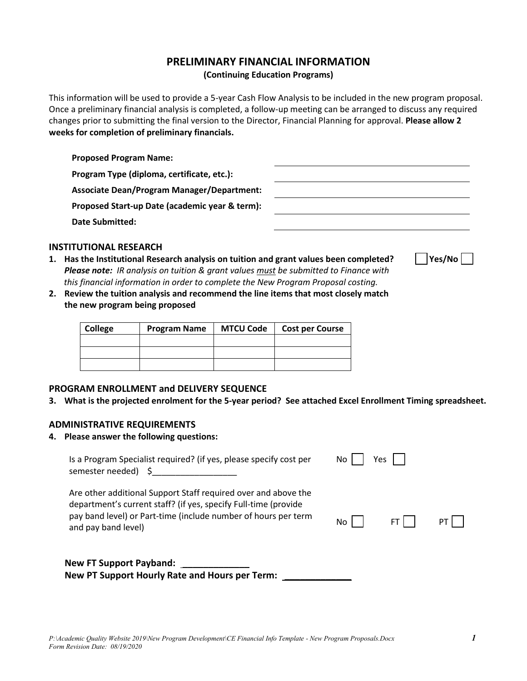# **PRELIMINARY FINANCIAL INFORMATION**

**(Continuing Education Programs)** 

This information will be used to provide a 5-year Cash Flow Analysis to be included in the new program proposal. Once a preliminary financial analysis is completed, a follow-up meeting can be arranged to discuss any required changes prior to submitting the final version to the Director, Financial Planning for approval. **Please allow 2 weeks for completion of preliminary financials.** 

| <b>Proposed Program Name:</b>                     |  |
|---------------------------------------------------|--|
| Program Type (diploma, certificate, etc.):        |  |
| <b>Associate Dean/Program Manager/Department:</b> |  |
| Proposed Start-up Date (academic year & term):    |  |
| <b>Date Submitted:</b>                            |  |
|                                                   |  |

# **INSTITUTIONAL RESEARCH**

- 1. Has the Institutional Research analysis on tuition and grant values been completed?  $\Box$  Yes/No  $\Box$ *Please note: IR analysis on tuition & grant values must be submitted to Finance with this financial information in order to complete the New Program Proposal costing.*
- **2. Review the tuition analysis and recommend the line items that most closely match the new program being proposed**

| College | <b>Program Name</b> | <b>MTCU Code</b> | <b>Cost per Course</b> |  |  |
|---------|---------------------|------------------|------------------------|--|--|
|         |                     |                  |                        |  |  |
|         |                     |                  |                        |  |  |
|         |                     |                  |                        |  |  |

### **PROGRAM ENROLLMENT and DELIVERY SEQUENCE**

**3. What is the projected enrolment for the 5-year period? See attached Excel Enrollment Timing spreadsheet.** 

#### **ADMINISTRATIVE REQUIREMENTS**

**4. Please answer the following questions:** 

| Is a Program Specialist required? (if yes, please specify cost per<br>semester needed)                                                                                                                                     | Yes.<br>No. |  |  |  |
|----------------------------------------------------------------------------------------------------------------------------------------------------------------------------------------------------------------------------|-------------|--|--|--|
| Are other additional Support Staff required over and above the<br>department's current staff? (if yes, specify Full-time (provide<br>pay band level) or Part-time (include number of hours per term<br>and pay band level) | No.         |  |  |  |
| <b>New FT Support Payband:</b><br>New PT Support Hourly Rate and Hours per Term:                                                                                                                                           |             |  |  |  |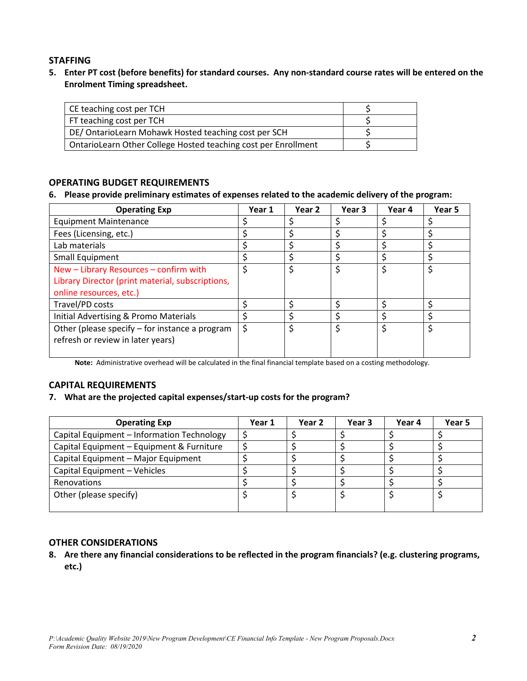# **STAFFING**

**5. Enter PT cost (before benefits) for standard courses. Any non-standard course rates will be entered on the Enrolment Timing spreadsheet.** 

| CE teaching cost per TCH                                       |  |
|----------------------------------------------------------------|--|
| FT teaching cost per TCH                                       |  |
| DE/ OntarioLearn Mohawk Hosted teaching cost per SCH           |  |
| OntarioLearn Other College Hosted teaching cost per Enrollment |  |

# **OPERATING BUDGET REQUIREMENTS**

#### **6. Please provide preliminary estimates of expenses related to the academic delivery of the program:**

| <b>Operating Exp</b>                             | Year 1 | Year 2 | Year 3 | Year 4 | Year 5 |
|--------------------------------------------------|--------|--------|--------|--------|--------|
| <b>Equipment Maintenance</b>                     |        |        |        |        |        |
| Fees (Licensing, etc.)                           |        |        |        |        |        |
| Lab materials                                    |        |        |        |        |        |
| Small Equipment                                  |        |        |        | ς      |        |
| New - Library Resources - confirm with           | Ś.     |        | \$     | \$     | Ś      |
| Library Director (print material, subscriptions, |        |        |        |        |        |
| online resources, etc.)                          |        |        |        |        |        |
| Travel/PD costs                                  |        |        |        |        |        |
| Initial Advertising & Promo Materials            |        |        |        |        |        |
| Other (please specify – for instance a program   |        |        |        | \$     |        |
| refresh or review in later years)                |        |        |        |        |        |
|                                                  |        |        |        |        |        |

**Note:** Administrative overhead will be calculated in the final financial template based on a costing methodology.

# **CAPITAL REQUIREMENTS**

### **7. What are the projected capital expenses/start-up costs for the program?**

| <b>Operating Exp</b>                       | Year 1 | Year 2 | Year 3 | Year 4 | Year 5 |
|--------------------------------------------|--------|--------|--------|--------|--------|
| Capital Equipment - Information Technology |        |        |        |        |        |
| Capital Equipment - Equipment & Furniture  |        |        |        |        |        |
| Capital Equipment - Major Equipment        |        |        |        |        |        |
| Capital Equipment - Vehicles               |        |        |        |        |        |
| Renovations                                |        |        |        |        |        |
| Other (please specify)                     |        |        |        |        |        |
|                                            |        |        |        |        |        |

### **OTHER CONSIDERATIONS**

**8. Are there any financial considerations to be reflected in the program financials? (e.g. clustering programs, etc.)**